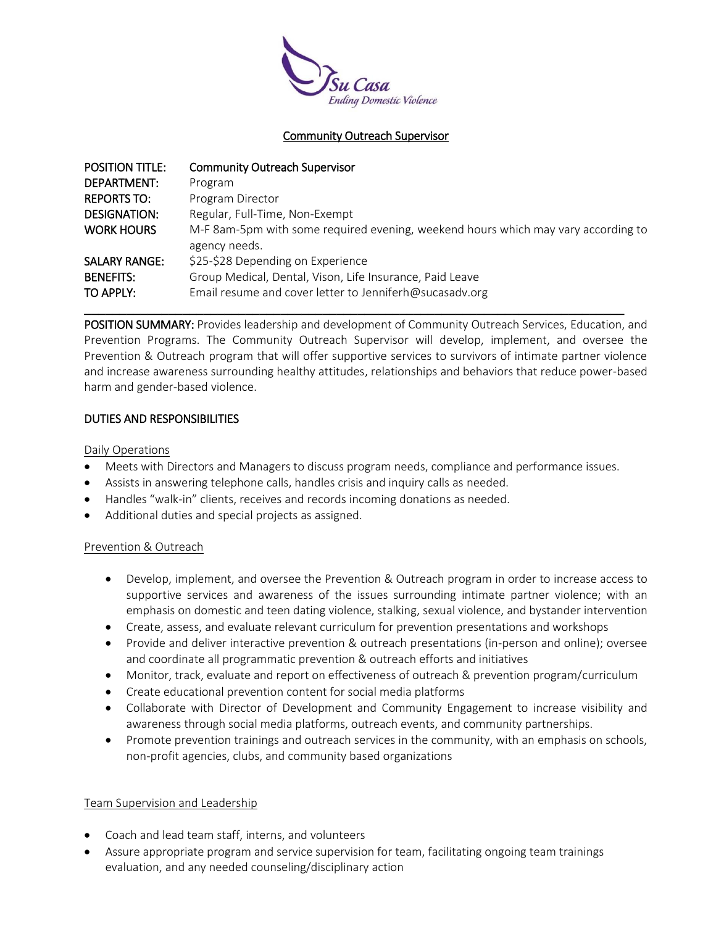

# Community Outreach Supervisor

| <b>POSITION TITLE:</b> | <b>Community Outreach Supervisor</b>                                              |
|------------------------|-----------------------------------------------------------------------------------|
| DEPARTMENT:            | Program                                                                           |
| <b>REPORTS TO:</b>     | Program Director                                                                  |
| DESIGNATION:           | Regular, Full-Time, Non-Exempt                                                    |
| <b>WORK HOURS</b>      | M-F 8am-5pm with some required evening, weekend hours which may vary according to |
|                        | agency needs.                                                                     |
| <b>SALARY RANGE:</b>   | \$25-\$28 Depending on Experience                                                 |
| <b>BENEFITS:</b>       | Group Medical, Dental, Vison, Life Insurance, Paid Leave                          |
| TO APPLY:              | Email resume and cover letter to Jenniferh@sucasadv.org                           |

POSITION SUMMARY: Provides leadership and development of Community Outreach Services, Education, and Prevention Programs. The Community Outreach Supervisor will develop, implement, and oversee the Prevention & Outreach program that will offer supportive services to survivors of intimate partner violence and increase awareness surrounding healthy attitudes, relationships and behaviors that reduce power-based harm and gender-based violence.

**\_\_\_\_\_\_\_\_\_\_\_\_\_\_\_\_\_\_\_\_\_\_\_\_\_\_\_\_\_\_\_\_\_\_\_\_\_\_\_\_\_\_\_\_\_\_\_\_\_\_\_\_\_\_\_\_\_\_\_\_\_\_\_\_\_\_\_\_\_\_\_\_\_\_\_\_\_**

# DUTIES AND RESPONSIBILITIES

### Daily Operations

- Meets with Directors and Managers to discuss program needs, compliance and performance issues.
- Assists in answering telephone calls, handles crisis and inquiry calls as needed.
- Handles "walk-in" clients, receives and records incoming donations as needed.
- Additional duties and special projects as assigned.

# Prevention & Outreach

- Develop, implement, and oversee the Prevention & Outreach program in order to increase access to supportive services and awareness of the issues surrounding intimate partner violence; with an emphasis on domestic and teen dating violence, stalking, sexual violence, and bystander intervention
- Create, assess, and evaluate relevant curriculum for prevention presentations and workshops
- Provide and deliver interactive prevention & outreach presentations (in-person and online); oversee and coordinate all programmatic prevention & outreach efforts and initiatives
- Monitor, track, evaluate and report on effectiveness of outreach & prevention program/curriculum
- Create educational prevention content for social media platforms
- Collaborate with Director of Development and Community Engagement to increase visibility and awareness through social media platforms, outreach events, and community partnerships.
- Promote prevention trainings and outreach services in the community, with an emphasis on schools, non-profit agencies, clubs, and community based organizations

# Team Supervision and Leadership

- Coach and lead team staff, interns, and volunteers
- Assure appropriate program and service supervision for team, facilitating ongoing team trainings evaluation, and any needed counseling/disciplinary action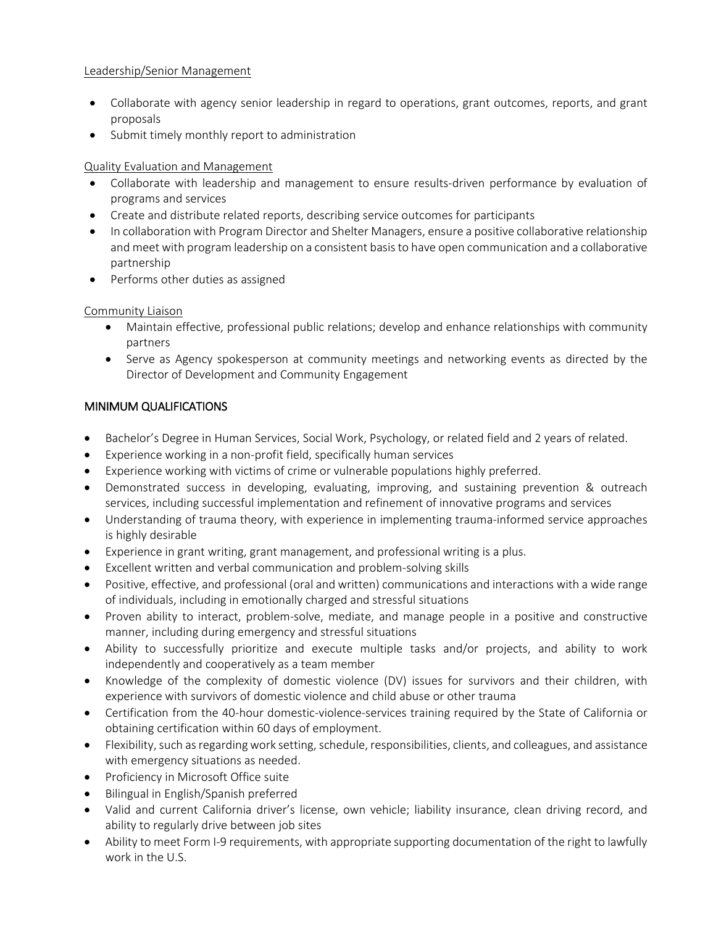# Leadership/Senior Management

- Collaborate with agency senior leadership in regard to operations, grant outcomes, reports, and grant proposals
- Submit timely monthly report to administration

# Quality Evaluation and Management

- Collaborate with leadership and management to ensure results-driven performance by evaluation of programs and services
- Create and distribute related reports, describing service outcomes for participants
- In collaboration with Program Director and Shelter Managers, ensure a positive collaborative relationship and meet with program leadership on a consistent basis to have open communication and a collaborative partnership
- Performs other duties as assigned

# Community Liaison

- Maintain effective, professional public relations; develop and enhance relationships with community partners
- Serve as Agency spokesperson at community meetings and networking events as directed by the Director of Development and Community Engagement

# MINIMUM QUALIFICATIONS

- Bachelor's Degree in Human Services, Social Work, Psychology, or related field and 2 years of related.
- Experience working in a non-profit field, specifically human services
- Experience working with victims of crime or vulnerable populations highly preferred.
- Demonstrated success in developing, evaluating, improving, and sustaining prevention & outreach services, including successful implementation and refinement of innovative programs and services
- Understanding of trauma theory, with experience in implementing trauma-informed service approaches is highly desirable
- Experience in grant writing, grant management, and professional writing is a plus.
- Excellent written and verbal communication and problem-solving skills
- Positive, effective, and professional (oral and written) communications and interactions with a wide range of individuals, including in emotionally charged and stressful situations
- Proven ability to interact, problem-solve, mediate, and manage people in a positive and constructive manner, including during emergency and stressful situations
- Ability to successfully prioritize and execute multiple tasks and/or projects, and ability to work independently and cooperatively as a team member
- Knowledge of the complexity of domestic violence (DV) issues for survivors and their children, with experience with survivors of domestic violence and child abuse or other trauma
- Certification from the 40-hour domestic-violence-services training required by the State of California or obtaining certification within 60 days of employment.
- Flexibility, such as regarding work setting, schedule, responsibilities, clients, and colleagues, and assistance with emergency situations as needed.
- Proficiency in Microsoft Office suite
- Bilingual in English/Spanish preferred
- Valid and current California driver's license, own vehicle; liability insurance, clean driving record, and ability to regularly drive between job sites
- Ability to meet Form I-9 requirements, with appropriate supporting documentation of the right to lawfully work in the U.S.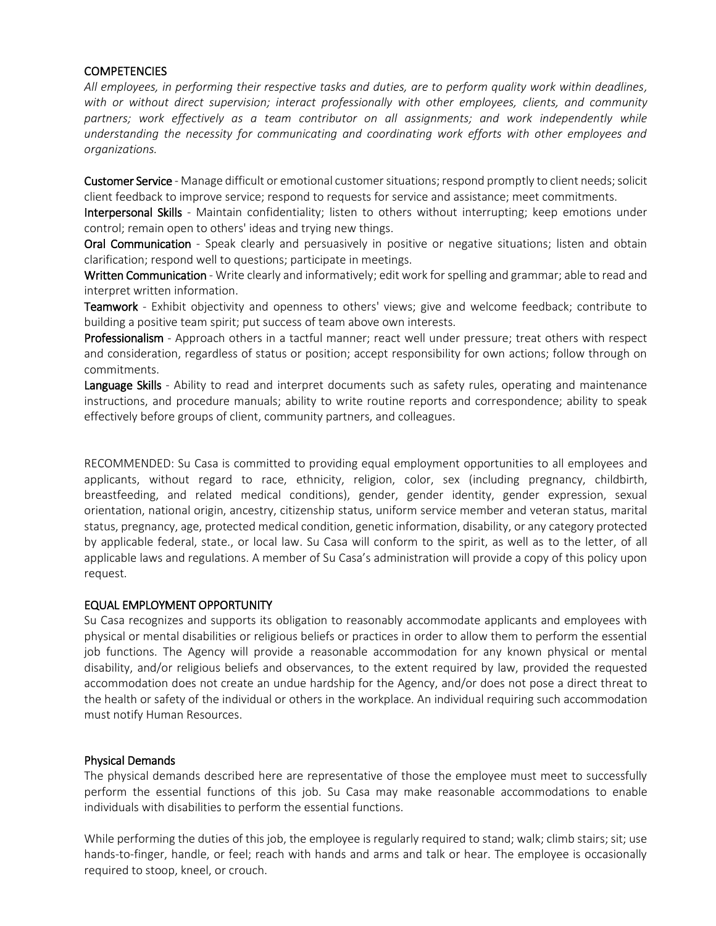# **COMPETENCIES**

*All employees, in performing their respective tasks and duties, are to perform quality work within deadlines, with or without direct supervision; interact professionally with other employees, clients, and community partners; work effectively as a team contributor on all assignments; and work independently while understanding the necessity for communicating and coordinating work efforts with other employees and organizations.*

Customer Service - Manage difficult or emotional customer situations; respond promptly to client needs; solicit client feedback to improve service; respond to requests for service and assistance; meet commitments.

Interpersonal Skills - Maintain confidentiality; listen to others without interrupting; keep emotions under control; remain open to others' ideas and trying new things.

Oral Communication - Speak clearly and persuasively in positive or negative situations; listen and obtain clarification; respond well to questions; participate in meetings.

Written Communication - Write clearly and informatively; edit work for spelling and grammar; able to read and interpret written information.

Teamwork - Exhibit objectivity and openness to others' views; give and welcome feedback; contribute to building a positive team spirit; put success of team above own interests.

Professionalism - Approach others in a tactful manner; react well under pressure; treat others with respect and consideration, regardless of status or position; accept responsibility for own actions; follow through on commitments.

Language Skills - Ability to read and interpret documents such as safety rules, operating and maintenance instructions, and procedure manuals; ability to write routine reports and correspondence; ability to speak effectively before groups of client, community partners, and colleagues.

RECOMMENDED: Su Casa is committed to providing equal employment opportunities to all employees and applicants, without regard to race, ethnicity, religion, color, sex (including pregnancy, childbirth, breastfeeding, and related medical conditions), gender, gender identity, gender expression, sexual orientation, national origin, ancestry, citizenship status, uniform service member and veteran status, marital status, pregnancy, age, protected medical condition, genetic information, disability, or any category protected by applicable federal, state., or local law. Su Casa will conform to the spirit, as well as to the letter, of all applicable laws and regulations. A member of Su Casa's administration will provide a copy of this policy upon request.

# EQUAL EMPLOYMENT OPPORTUNITY

Su Casa recognizes and supports its obligation to reasonably accommodate applicants and employees with physical or mental disabilities or religious beliefs or practices in order to allow them to perform the essential job functions. The Agency will provide a reasonable accommodation for any known physical or mental disability, and/or religious beliefs and observances, to the extent required by law, provided the requested accommodation does not create an undue hardship for the Agency, and/or does not pose a direct threat to the health or safety of the individual or others in the workplace. An individual requiring such accommodation must notify Human Resources.

#### Physical Demands

The physical demands described here are representative of those the employee must meet to successfully perform the essential functions of this job. Su Casa may make reasonable accommodations to enable individuals with disabilities to perform the essential functions.

While performing the duties of this job, the employee is regularly required to stand; walk; climb stairs; sit; use hands-to-finger, handle, or feel; reach with hands and arms and talk or hear. The employee is occasionally required to stoop, kneel, or crouch.